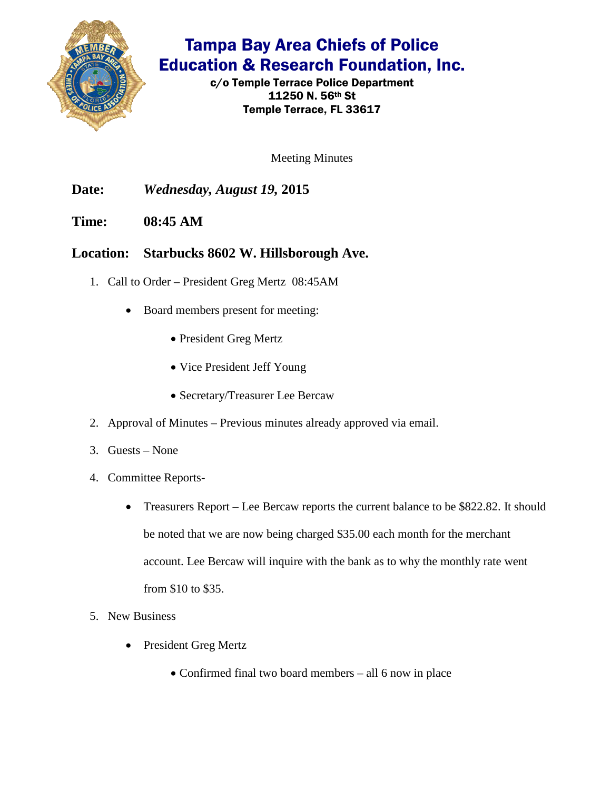

## Tampa Bay Area Chiefs of Police Education & Research Foundation, Inc.

c/o Temple Terrace Police Department 11250 N. 56th St Temple Terrace, FL 33617

Meeting Minutes

**Date:** *Wednesday, August 19,* **2015**

**Time: 08:45 AM**

## **Location: Starbucks 8602 W. Hillsborough Ave.**

- 1. Call to Order President Greg Mertz 08:45AM
	- Board members present for meeting:
		- President Greg Mertz
		- Vice President Jeff Young
		- Secretary/Treasurer Lee Bercaw
- 2. Approval of Minutes Previous minutes already approved via email.
- 3. Guests None
- 4. Committee Reports-
	- Treasurers Report Lee Bercaw reports the current balance to be \$822.82. It should be noted that we are now being charged \$35.00 each month for the merchant account. Lee Bercaw will inquire with the bank as to why the monthly rate went from \$10 to \$35.
- 5. New Business
	- President Greg Mertz
		- Confirmed final two board members all 6 now in place